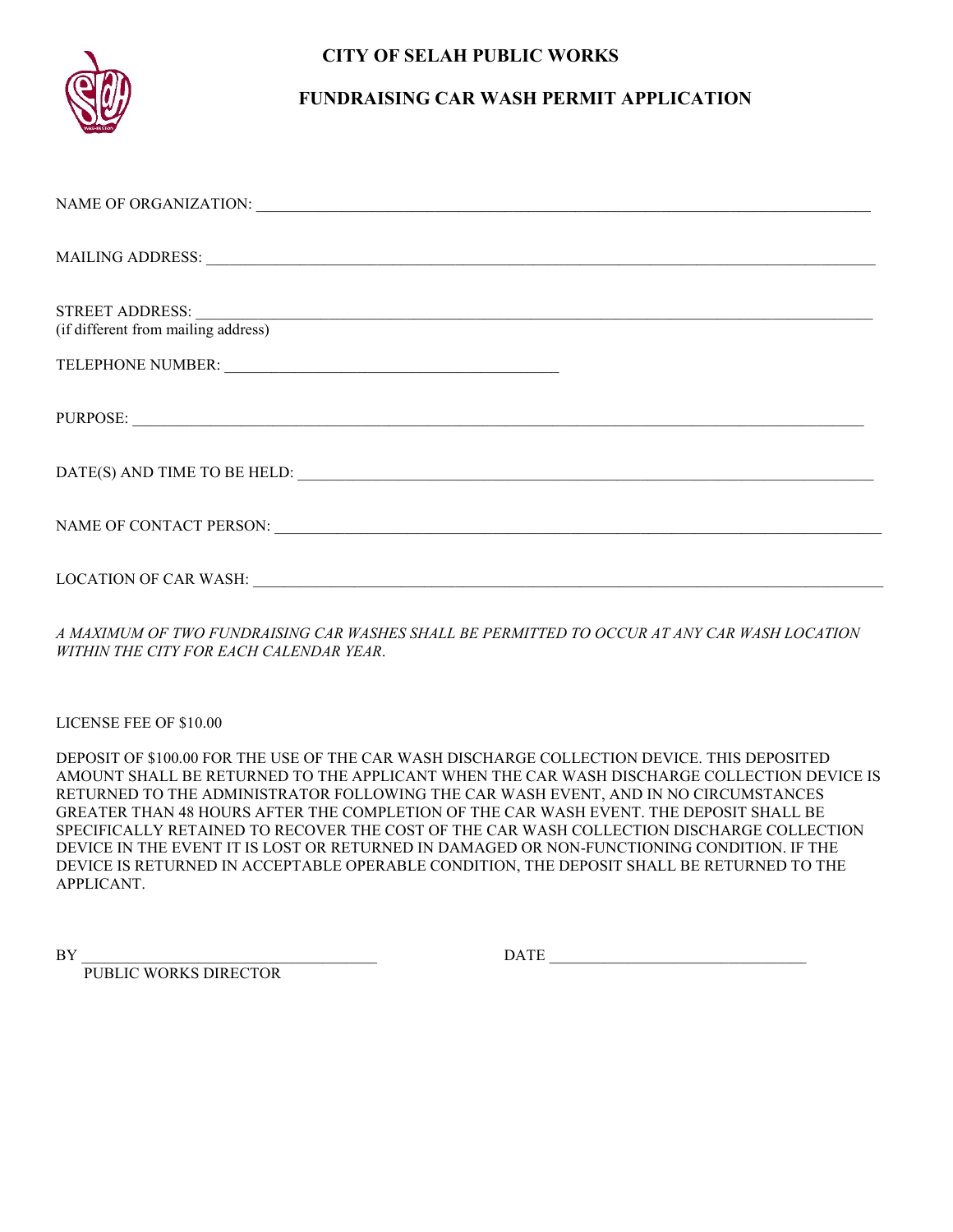### **CITY OF SELAH PUBLIC WORKS**



### **FUNDRAISING CAR WASH PERMIT APPLICATION**

| (if different from mailing address)                     |
|---------------------------------------------------------|
|                                                         |
| PURPOSE:                                                |
|                                                         |
|                                                         |
| LOCATION OF CAR WASH: VALUE AND A CONTRACT OF CAR WASH: |

*A MAXIMUM OF TWO FUNDRAISING CAR WASHES SHALL BE PERMITTED TO OCCUR AT ANY CAR WASH LOCATION WITHIN THE CITY FOR EACH CALENDAR YEAR*.

LICENSE FEE OF \$10.00

DEPOSIT OF \$100.00 FOR THE USE OF THE CAR WASH DISCHARGE COLLECTION DEVICE. THIS DEPOSITED AMOUNT SHALL BE RETURNED TO THE APPLICANT WHEN THE CAR WASH DISCHARGE COLLECTION DEVICE IS RETURNED TO THE ADMINISTRATOR FOLLOWING THE CAR WASH EVENT, AND IN NO CIRCUMSTANCES GREATER THAN 48 HOURS AFTER THE COMPLETION OF THE CAR WASH EVENT. THE DEPOSIT SHALL BE SPECIFICALLY RETAINED TO RECOVER THE COST OF THE CAR WASH COLLECTION DISCHARGE COLLECTION DEVICE IN THE EVENT IT IS LOST OR RETURNED IN DAMAGED OR NON-FUNCTIONING CONDITION. IF THE DEVICE IS RETURNED IN ACCEPTABLE OPERABLE CONDITION, THE DEPOSIT SHALL BE RETURNED TO THE APPLICANT.

PUBLIC WORKS DIRECTOR

BY DATE